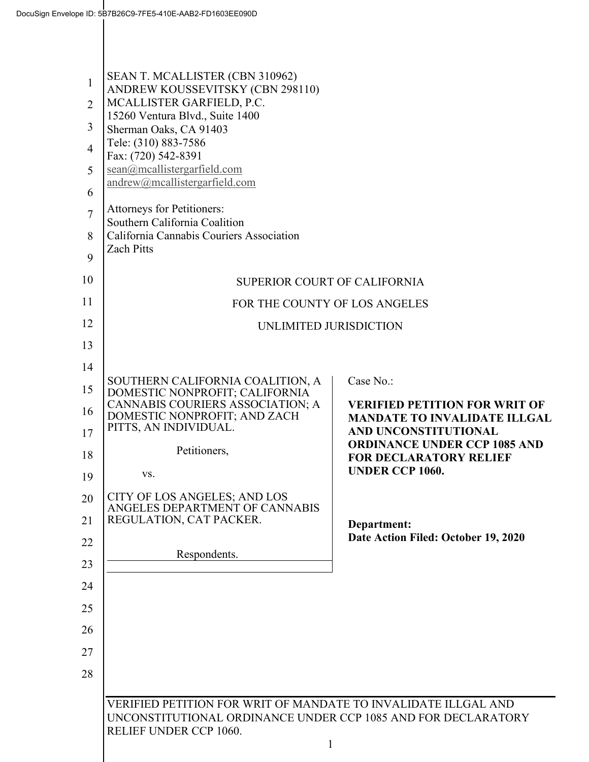| $\mathbf{1}$<br>$\overline{2}$<br>3<br>$\overline{4}$<br>5<br>6<br>$\overline{7}$<br>8<br>9 | SEAN T. MCALLISTER (CBN 310962)<br>ANDREW KOUSSEVITSKY (CBN 298110)<br>MCALLISTER GARFIELD, P.C.<br>15260 Ventura Blvd., Suite 1400<br>Sherman Oaks, CA 91403<br>Tele: (310) 883-7586<br>Fax: (720) 542-8391<br>sean@mcallistergarfield.com<br>andrew@mcallistergarfield.com<br>Attorneys for Petitioners:<br>Southern California Coalition<br>California Cannabis Couriers Association<br><b>Zach Pitts</b> |                                                                                                     |
|---------------------------------------------------------------------------------------------|--------------------------------------------------------------------------------------------------------------------------------------------------------------------------------------------------------------------------------------------------------------------------------------------------------------------------------------------------------------------------------------------------------------|-----------------------------------------------------------------------------------------------------|
| 10                                                                                          | <b>SUPERIOR COURT OF CALIFORNIA</b>                                                                                                                                                                                                                                                                                                                                                                          |                                                                                                     |
| 11                                                                                          | FOR THE COUNTY OF LOS ANGELES                                                                                                                                                                                                                                                                                                                                                                                |                                                                                                     |
| 12                                                                                          | UNLIMITED JURISDICTION                                                                                                                                                                                                                                                                                                                                                                                       |                                                                                                     |
| 13                                                                                          |                                                                                                                                                                                                                                                                                                                                                                                                              |                                                                                                     |
| 14                                                                                          |                                                                                                                                                                                                                                                                                                                                                                                                              |                                                                                                     |
| 15                                                                                          | SOUTHERN CALIFORNIA COALITION, A<br>DOMESTIC NONPROFIT; CALIFORNIA                                                                                                                                                                                                                                                                                                                                           | Case No.:                                                                                           |
| 16<br>17                                                                                    | CANNABIS COURIERS ASSOCIATION; A<br>DOMESTIC NONPROFIT; AND ZACH<br>PITTS, AN INDIVIDUAL.                                                                                                                                                                                                                                                                                                                    | <b>VERIFIED PETITION FOR WRIT OF</b><br><b>MANDATE TO INVALIDATE ILLGAL</b><br>AND UNCONSTITUTIONAL |
| 18                                                                                          | Petitioners,                                                                                                                                                                                                                                                                                                                                                                                                 | <b>ORDINANCE UNDER CCP 1085 AND</b><br><b>FOR DECLARATORY RELIEF</b>                                |
| 19                                                                                          | VS.                                                                                                                                                                                                                                                                                                                                                                                                          | <b>UNDER CCP 1060.</b>                                                                              |
| 20                                                                                          | CITY OF LOS ANGELES; AND LOS<br>ANGELES DEPARTMENT OF CANNABIS                                                                                                                                                                                                                                                                                                                                               |                                                                                                     |
| 21                                                                                          | REGULATION, CAT PACKER.                                                                                                                                                                                                                                                                                                                                                                                      | Department:<br>Date Action Filed: October 19, 2020                                                  |
| 22                                                                                          | Respondents.                                                                                                                                                                                                                                                                                                                                                                                                 |                                                                                                     |
| 23                                                                                          |                                                                                                                                                                                                                                                                                                                                                                                                              |                                                                                                     |
| 24                                                                                          |                                                                                                                                                                                                                                                                                                                                                                                                              |                                                                                                     |
| 25                                                                                          |                                                                                                                                                                                                                                                                                                                                                                                                              |                                                                                                     |
| 26                                                                                          |                                                                                                                                                                                                                                                                                                                                                                                                              |                                                                                                     |
| 27                                                                                          |                                                                                                                                                                                                                                                                                                                                                                                                              |                                                                                                     |
| 28                                                                                          |                                                                                                                                                                                                                                                                                                                                                                                                              |                                                                                                     |
|                                                                                             | VERIFIED PETITION FOR WRIT OF MANDATE TO INVALIDATE ILLGAL AND<br>UNCONSTITUTIONAL ORDINANCE UNDER CCP 1085 AND FOR DECLARATORY<br>RELIEF UNDER CCP 1060.                                                                                                                                                                                                                                                    |                                                                                                     |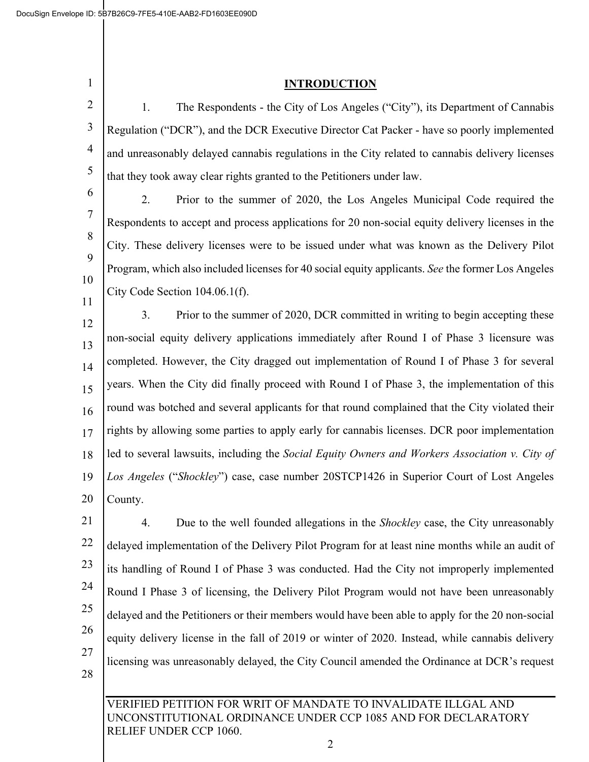| $\mathbf{1}$   | <b>INTRODUCTION</b>                                                                               |  |
|----------------|---------------------------------------------------------------------------------------------------|--|
| $\overline{2}$ | The Respondents - the City of Los Angeles ("City"), its Department of Cannabis<br>1.              |  |
| 3              | Regulation ("DCR"), and the DCR Executive Director Cat Packer - have so poorly implemented        |  |
| $\overline{4}$ | and unreasonably delayed cannabis regulations in the City related to cannabis delivery licenses   |  |
| 5              | that they took away clear rights granted to the Petitioners under law.                            |  |
| 6              | Prior to the summer of 2020, the Los Angeles Municipal Code required the<br>2.                    |  |
| 7              | Respondents to accept and process applications for 20 non-social equity delivery licenses in the  |  |
| 8              | City. These delivery licenses were to be issued under what was known as the Delivery Pilot        |  |
| 9              | Program, which also included licenses for 40 social equity applicants. See the former Los Angeles |  |
| 10             | City Code Section 104.06.1(f).                                                                    |  |
| 11             | Prior to the summer of 2020, DCR committed in writing to begin accepting these<br>3.              |  |
| 12             |                                                                                                   |  |
| 13             | non-social equity delivery applications immediately after Round I of Phase 3 licensure was        |  |
| 14             | completed. However, the City dragged out implementation of Round I of Phase 3 for several         |  |
| 15             | years. When the City did finally proceed with Round I of Phase 3, the implementation of this      |  |
| 16             | round was botched and several applicants for that round complained that the City violated their   |  |
| 17             | rights by allowing some parties to apply early for cannabis licenses. DCR poor implementation     |  |
| 18             | led to several lawsuits, including the Social Equity Owners and Workers Association v. City of    |  |
| 19             | Los Angeles ("Shockley") case, case number 20STCP1426 in Superior Court of Lost Angeles           |  |
| 20             | County.                                                                                           |  |
| 21             | Due to the well founded allegations in the Shockley case, the City unreasonably<br>4.             |  |
| 22             | delayed implementation of the Delivery Pilot Program for at least nine months while an audit of   |  |
| 23             | its handling of Round I of Phase 3 was conducted. Had the City not improperly implemented         |  |
| 24             | Round I Phase 3 of licensing, the Delivery Pilot Program would not have been unreasonably         |  |
| 25             | delayed and the Petitioners or their members would have been able to apply for the 20 non-social  |  |
| 26             | equity delivery license in the fall of 2019 or winter of 2020. Instead, while cannabis delivery   |  |
| 27             | licensing was unreasonably delayed, the City Council amended the Ordinance at DCR's request       |  |
| 28             |                                                                                                   |  |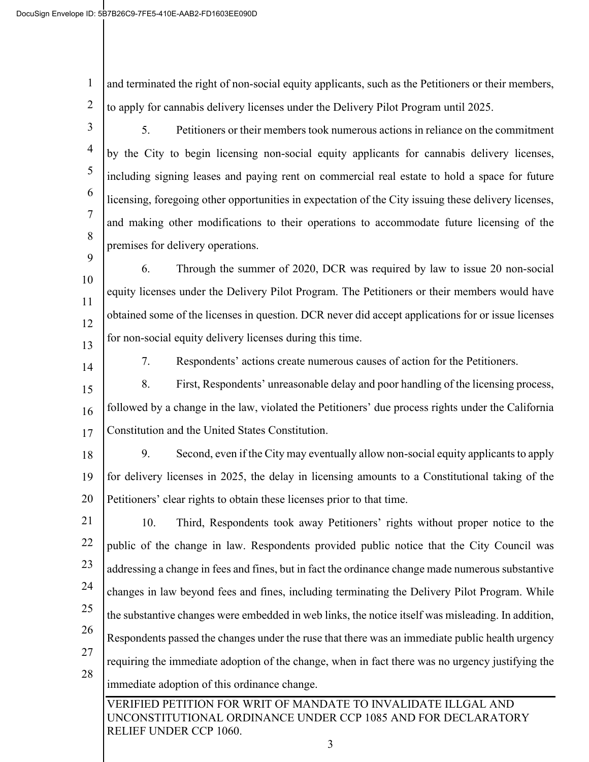1 2 and terminated the right of non-social equity applicants, such as the Petitioners or their members, to apply for cannabis delivery licenses under the Delivery Pilot Program until 2025.

3 4 5 6 7 8 9 5. Petitioners or their members took numerous actions in reliance on the commitment by the City to begin licensing non-social equity applicants for cannabis delivery licenses, including signing leases and paying rent on commercial real estate to hold a space for future licensing, foregoing other opportunities in expectation of the City issuing these delivery licenses, and making other modifications to their operations to accommodate future licensing of the premises for delivery operations.

10 11 12 13 6. Through the summer of 2020, DCR was required by law to issue 20 non-social equity licenses under the Delivery Pilot Program. The Petitioners or their members would have obtained some of the licenses in question. DCR never did accept applications for or issue licenses for non-social equity delivery licenses during this time.

14

7. Respondents' actions create numerous causes of action for the Petitioners.

15 16 17 8. First, Respondents' unreasonable delay and poor handling of the licensing process, followed by a change in the law, violated the Petitioners' due process rights under the California Constitution and the United States Constitution.

18

19 20 9. Second, even if the City may eventually allow non-social equity applicants to apply for delivery licenses in 2025, the delay in licensing amounts to a Constitutional taking of the Petitioners' clear rights to obtain these licenses prior to that time.

21 22 23 24 25 26 27 28 10. Third, Respondents took away Petitioners' rights without proper notice to the public of the change in law. Respondents provided public notice that the City Council was addressing a change in fees and fines, but in fact the ordinance change made numerous substantive changes in law beyond fees and fines, including terminating the Delivery Pilot Program. While the substantive changes were embedded in web links, the notice itself was misleading. In addition, Respondents passed the changes under the ruse that there was an immediate public health urgency requiring the immediate adoption of the change, when in fact there was no urgency justifying the immediate adoption of this ordinance change.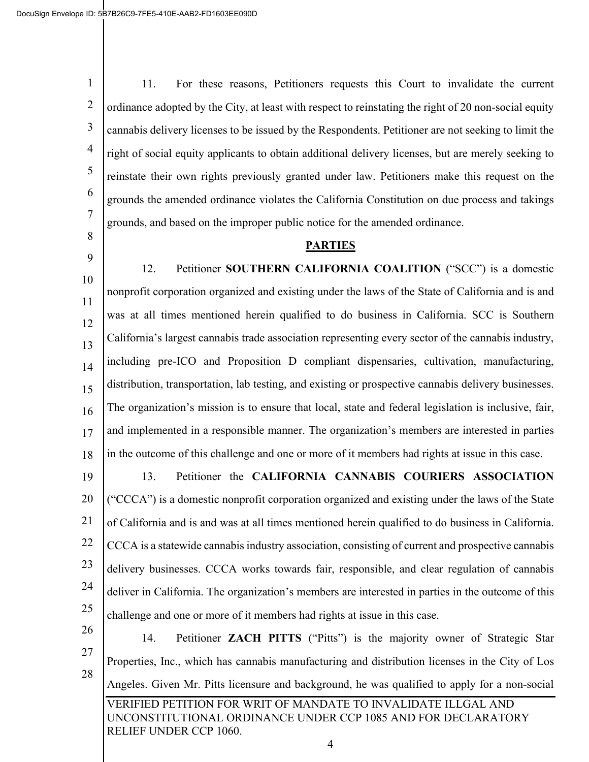3 4

5

6

7

8

9

1

2

11. For these reasons, Petitioners requests this Court to invalidate the current ordinance adopted by the City, at least with respect to reinstating the right of 20 non-social equity cannabis delivery licenses to be issued by the Respondents. Petitioner are not seeking to limit the right of social equity applicants to obtain additional delivery licenses, but are merely seeking to reinstate their own rights previously granted under law. Petitioners make this request on the grounds the amended ordinance violates the California Constitution on due process and takings grounds, and based on the improper public notice for the amended ordinance.

## **PARTIES**

10 11 12 13 14 15 16 17 18 12. Petitioner **SOUTHERN CALIFORNIA COALITION** ("SCC") is a domestic nonprofit corporation organized and existing under the laws of the State of California and is and was at all times mentioned herein qualified to do business in California. SCC is Southern California's largest cannabis trade association representing every sector of the cannabis industry, including pre-ICO and Proposition D compliant dispensaries, cultivation, manufacturing, distribution, transportation, lab testing, and existing or prospective cannabis delivery businesses. The organization's mission is to ensure that local, state and federal legislation is inclusive, fair, and implemented in a responsible manner. The organization's members are interested in parties in the outcome of this challenge and one or more of it members had rights at issue in this case.

19 20 21 22 23 24 25 13. Petitioner the **CALIFORNIA CANNABIS COURIERS ASSOCIATION** ("CCCA") is a domestic nonprofit corporation organized and existing under the laws of the State of California and is and was at all times mentioned herein qualified to do business in California. CCCA is a statewide cannabis industry association, consisting of current and prospective cannabis delivery businesses. CCCA works towards fair, responsible, and clear regulation of cannabis deliver in California. The organization's members are interested in parties in the outcome of this challenge and one or more of it members had rights at issue in this case.

26 27 28 14. Petitioner **ZACH PITTS** ("Pitts") is the majority owner of Strategic Star Properties, Inc., which has cannabis manufacturing and distribution licenses in the City of Los Angeles. Given Mr. Pitts licensure and background, he was qualified to apply for a non-social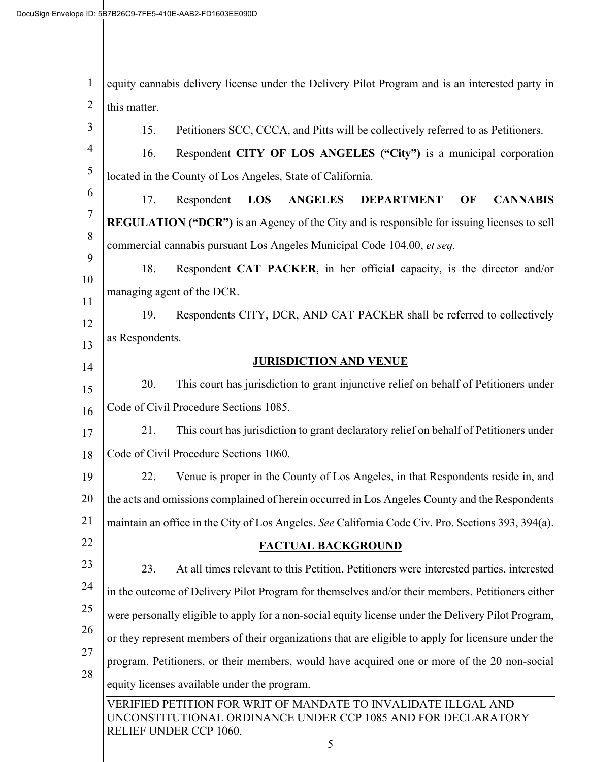VERIFIED PETITION FOR WRIT OF MANDATE TO INVALIDATE ILLGAL AND UNCONSTITUTIONAL ORDINANCE UNDER CCP 1085 AND FOR DECLARATORY RELIEF UNDER CCP 1060. 1 2 3 4 5 6 7 8 9 10 11 12 13 14 15 16 17 18 19 20 21 22 23 24 25 26 27 28 equity cannabis delivery license under the Delivery Pilot Program and is an interested party in this matter. 15. Petitioners SCC, CCCA, and Pitts will be collectively referred to as Petitioners. 16. Respondent **CITY OF LOS ANGELES ("City")** is a municipal corporation located in the County of Los Angeles, State of California. 17. Respondent **LOS ANGELES DEPARTMENT OF CANNABIS REGULATION ("DCR")** is an Agency of the City and is responsible for issuing licenses to sell commercial cannabis pursuant Los Angeles Municipal Code 104.00, *et seq.* 18. Respondent **CAT PACKER**, in her official capacity, is the director and/or managing agent of the DCR. 19. Respondents CITY, DCR, AND CAT PACKER shall be referred to collectively as Respondents. **JURISDICTION AND VENUE** 20. This court has jurisdiction to grant injunctive relief on behalf of Petitioners under Code of Civil Procedure Sections 1085. 21. This court has jurisdiction to grant declaratory relief on behalf of Petitioners under Code of Civil Procedure Sections 1060. 22. Venue is proper in the County of Los Angeles, in that Respondents reside in, and the acts and omissions complained of herein occurred in Los Angeles County and the Respondents maintain an office in the City of Los Angeles. *See* California Code Civ. Pro. Sections 393, 394(a). **FACTUAL BACKGROUND**  23. At all times relevant to this Petition, Petitioners were interested parties, interested in the outcome of Delivery Pilot Program for themselves and/or their members. Petitioners either were personally eligible to apply for a non-social equity license under the Delivery Pilot Program, or they represent members of their organizations that are eligible to apply for licensure under the program. Petitioners, or their members, would have acquired one or more of the 20 non-social equity licenses available under the program.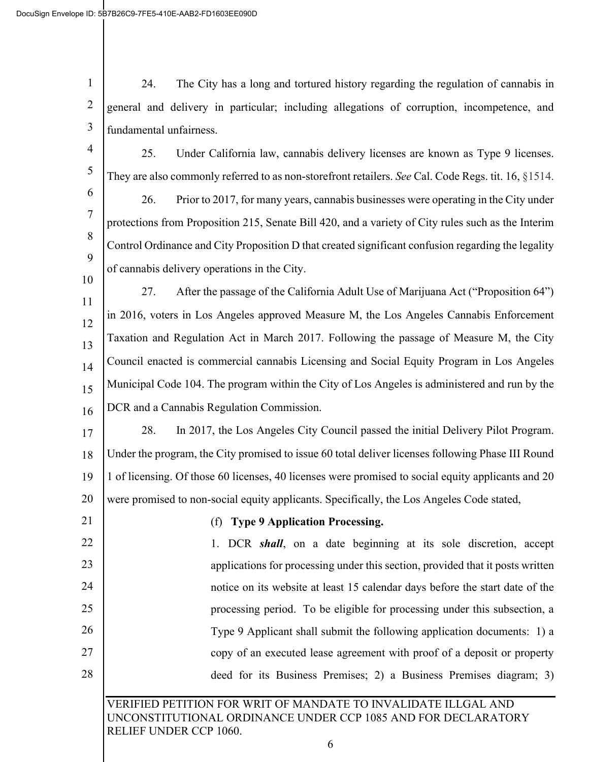1 2 3 24. The City has a long and tortured history regarding the regulation of cannabis in general and delivery in particular; including allegations of corruption, incompetence, and fundamental unfairness.

4 5 6 7 8 9 25. Under California law, cannabis delivery licenses are known as Type 9 licenses. They are also commonly referred to as non-storefront retailers. *See* Cal. Code Regs. tit. 16, §1514. 26. Prior to 2017, for many years, cannabis businesses were operating in the City under protections from Proposition 215, Senate Bill 420, and a variety of City rules such as the Interim Control Ordinance and City Proposition D that created significant confusion regarding the legality of cannabis delivery operations in the City.

10 11

12 13 14 15 16 27. After the passage of the California Adult Use of Marijuana Act ("Proposition 64") in 2016, voters in Los Angeles approved Measure M, the Los Angeles Cannabis Enforcement Taxation and Regulation Act in March 2017. Following the passage of Measure M, the City Council enacted is commercial cannabis Licensing and Social Equity Program in Los Angeles Municipal Code 104. The program within the City of Los Angeles is administered and run by the DCR and a Cannabis Regulation Commission.

17 18 19 20 28. In 2017, the Los Angeles City Council passed the initial Delivery Pilot Program. Under the program, the City promised to issue 60 total deliver licenses following Phase III Round 1 of licensing. Of those 60 licenses, 40 licenses were promised to social equity applicants and 20 were promised to non-social equity applicants. Specifically, the Los Angeles Code stated,

21 22

23

24

25

26

27

28

## (f) **Type 9 Application Processing.**

1. DCR *shall*, on a date beginning at its sole discretion, accept applications for processing under this section, provided that it posts written notice on its website at least 15 calendar days before the start date of the processing period. To be eligible for processing under this subsection, a Type 9 Applicant shall submit the following application documents: 1) a copy of an executed lease agreement with proof of a deposit or property deed for its Business Premises; 2) a Business Premises diagram; 3)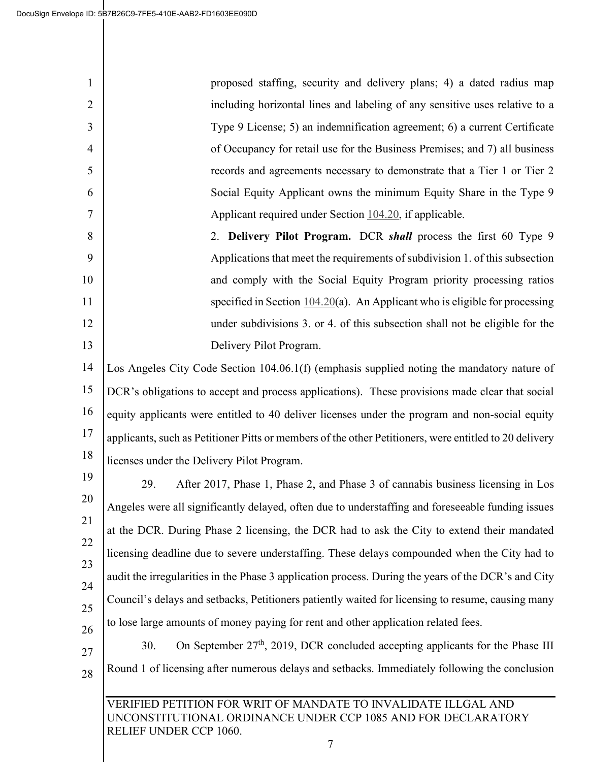| $\mathbf{1}$   | proposed staffing, security and delivery plans; 4) a dated radius map                                                                                          |
|----------------|----------------------------------------------------------------------------------------------------------------------------------------------------------------|
| $\overline{2}$ | including horizontal lines and labeling of any sensitive uses relative to a                                                                                    |
| 3              | Type 9 License; 5) an indemnification agreement; 6) a current Certificate                                                                                      |
| 4              | of Occupancy for retail use for the Business Premises; and 7) all business                                                                                     |
| 5              | records and agreements necessary to demonstrate that a Tier 1 or Tier 2                                                                                        |
| 6              | Social Equity Applicant owns the minimum Equity Share in the Type 9                                                                                            |
| 7              | Applicant required under Section 104.20, if applicable.                                                                                                        |
| 8              | 2. Delivery Pilot Program. DCR shall process the first 60 Type 9                                                                                               |
| 9              | Applications that meet the requirements of subdivision 1. of this subsection                                                                                   |
| 10             | and comply with the Social Equity Program priority processing ratios                                                                                           |
| 11             | specified in Section $104.20(a)$ . An Applicant who is eligible for processing                                                                                 |
| 12             | under subdivisions 3. or 4. of this subsection shall not be eligible for the                                                                                   |
| 13             | Delivery Pilot Program.                                                                                                                                        |
| 14             | Los Angeles City Code Section 104.06.1(f) (emphasis supplied noting the mandatory nature of                                                                    |
| 15             | DCR's obligations to accept and process applications). These provisions made clear that social                                                                 |
| 16             | equity applicants were entitled to 40 deliver licenses under the program and non-social equity                                                                 |
| 17             | applicants, such as Petitioner Pitts or members of the other Petitioners, were entitled to 20 delivery                                                         |
| 18             | licenses under the Delivery Pilot Program.                                                                                                                     |
| 19             | After 2017, Phase 1, Phase 2, and Phase 3 of cannabis business licensing in Los<br>29.                                                                         |
| 20             | Angeles were all significantly delayed, often due to understaffing and foreseeable funding issues                                                              |
| 21             | at the DCR. During Phase 2 licensing, the DCR had to ask the City to extend their mandated                                                                     |
| 22             | licensing deadline due to severe understaffing. These delays compounded when the City had to                                                                   |
| 23             | audit the irregularities in the Phase 3 application process. During the years of the DCR's and City                                                            |
| 24             | Council's delays and setbacks, Petitioners patiently waited for licensing to resume, causing many                                                              |
| 25             | to lose large amounts of money paying for rent and other application related fees.                                                                             |
| 26             | On September 27 <sup>th</sup> , 2019, DCR concluded accepting applicants for the Phase III<br>30.                                                              |
| 27             | Round 1 of licensing after numerous delays and setbacks. Immediately following the conclusion                                                                  |
| 28             |                                                                                                                                                                |
|                | VERIFIED PETITION FOR WRIT OF MANDATE TO INVALIDATE ILLGAL AND<br>UNCONSTITUTIONAL ORDINANCE UNDER CCP 1085 AND FOR DECLARATORY<br>RELIEF UNDER CCP 1060.<br>7 |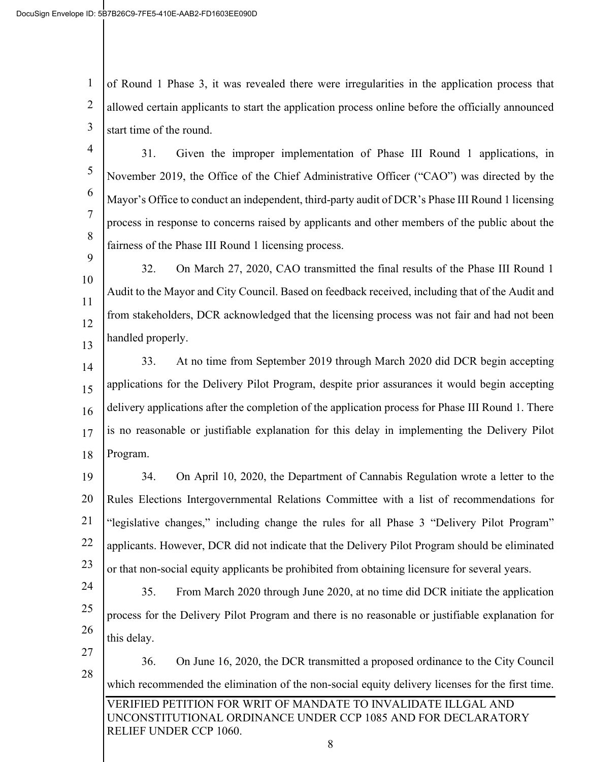1 2 3 of Round 1 Phase 3, it was revealed there were irregularities in the application process that allowed certain applicants to start the application process online before the officially announced start time of the round.

4 5 6 7 8 31. Given the improper implementation of Phase III Round 1 applications, in November 2019, the Office of the Chief Administrative Officer ("CAO") was directed by the Mayor's Office to conduct an independent, third-party audit of DCR's Phase III Round 1 licensing process in response to concerns raised by applicants and other members of the public about the fairness of the Phase III Round 1 licensing process.

9 10

11 12 13 32. On March 27, 2020, CAO transmitted the final results of the Phase III Round 1 Audit to the Mayor and City Council. Based on feedback received, including that of the Audit and from stakeholders, DCR acknowledged that the licensing process was not fair and had not been handled properly.

14 15 16 17 18 33. At no time from September 2019 through March 2020 did DCR begin accepting applications for the Delivery Pilot Program, despite prior assurances it would begin accepting delivery applications after the completion of the application process for Phase III Round 1. There is no reasonable or justifiable explanation for this delay in implementing the Delivery Pilot Program.

19 20 21 22 23 34. On April 10, 2020, the Department of Cannabis Regulation wrote a letter to the Rules Elections Intergovernmental Relations Committee with a list of recommendations for "legislative changes," including change the rules for all Phase 3 "Delivery Pilot Program" applicants. However, DCR did not indicate that the Delivery Pilot Program should be eliminated or that non-social equity applicants be prohibited from obtaining licensure for several years.

24

25 26 35. From March 2020 through June 2020, at no time did DCR initiate the application process for the Delivery Pilot Program and there is no reasonable or justifiable explanation for this delay.

- 27
- 28

36. On June 16, 2020, the DCR transmitted a proposed ordinance to the City Council which recommended the elimination of the non-social equity delivery licenses for the first time.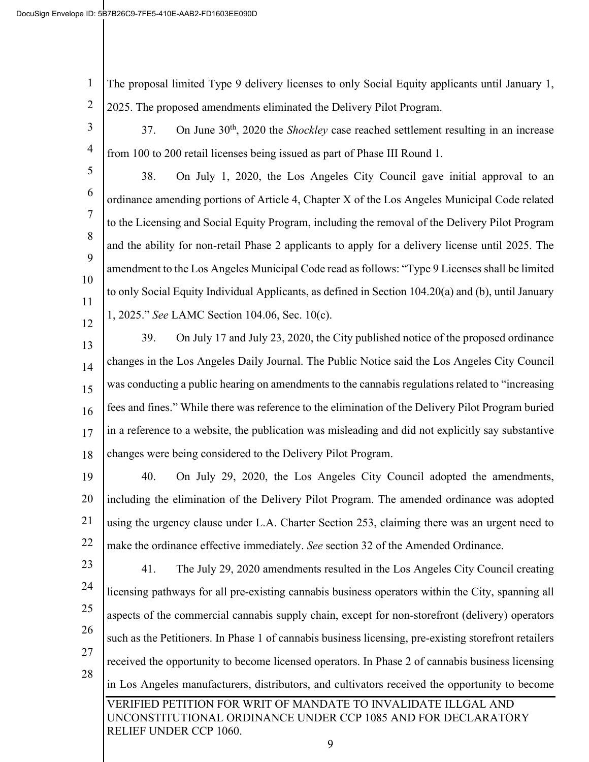1 2 The proposal limited Type 9 delivery licenses to only Social Equity applicants until January 1, 2025. The proposed amendments eliminated the Delivery Pilot Program.

3 4

37. On June 30th, 2020 the *Shockley* case reached settlement resulting in an increase from 100 to 200 retail licenses being issued as part of Phase III Round 1.

5 6 7 8 9 10 11 12 38. On July 1, 2020, the Los Angeles City Council gave initial approval to an ordinance amending portions of Article 4, Chapter X of the Los Angeles Municipal Code related to the Licensing and Social Equity Program, including the removal of the Delivery Pilot Program and the ability for non-retail Phase 2 applicants to apply for a delivery license until 2025. The amendment to the Los Angeles Municipal Code read as follows: "Type 9 Licenses shall be limited to only Social Equity Individual Applicants, as defined in Section 104.20(a) and (b), until January 1, 2025." *See* LAMC Section 104.06, Sec. 10(c).

13 14 15 16 17 18 39. On July 17 and July 23, 2020, the City published notice of the proposed ordinance changes in the Los Angeles Daily Journal. The Public Notice said the Los Angeles City Council was conducting a public hearing on amendments to the cannabis regulations related to "increasing fees and fines." While there was reference to the elimination of the Delivery Pilot Program buried in a reference to a website, the publication was misleading and did not explicitly say substantive changes were being considered to the Delivery Pilot Program.

19 20 21 22 40. On July 29, 2020, the Los Angeles City Council adopted the amendments, including the elimination of the Delivery Pilot Program. The amended ordinance was adopted using the urgency clause under L.A. Charter Section 253, claiming there was an urgent need to make the ordinance effective immediately. *See* section 32 of the Amended Ordinance.

23

24 25 26 27 28 41. The July 29, 2020 amendments resulted in the Los Angeles City Council creating licensing pathways for all pre-existing cannabis business operators within the City, spanning all aspects of the commercial cannabis supply chain, except for non-storefront (delivery) operators such as the Petitioners. In Phase 1 of cannabis business licensing, pre-existing storefront retailers received the opportunity to become licensed operators. In Phase 2 of cannabis business licensing in Los Angeles manufacturers, distributors, and cultivators received the opportunity to become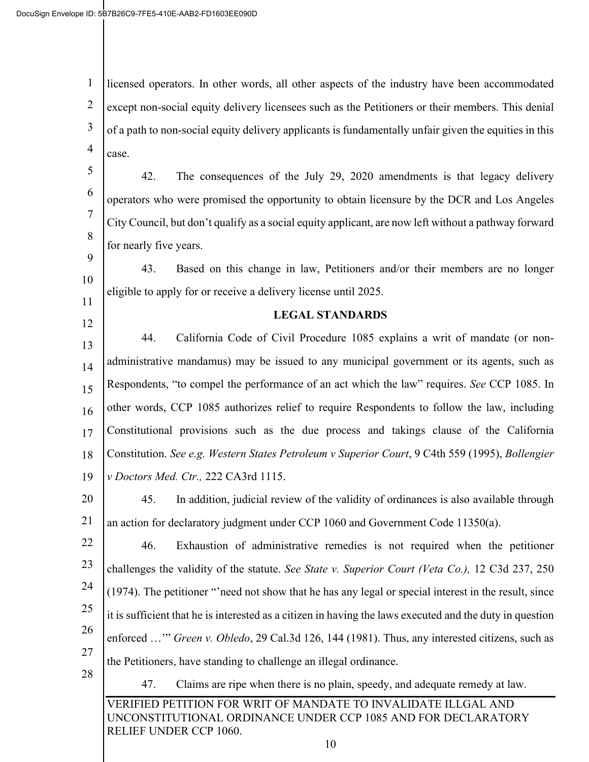1 2 3 4 licensed operators. In other words, all other aspects of the industry have been accommodated except non-social equity delivery licensees such as the Petitioners or their members. This denial of a path to non-social equity delivery applicants is fundamentally unfair given the equities in this case.

- 5 6 7 8 42. The consequences of the July 29, 2020 amendments is that legacy delivery operators who were promised the opportunity to obtain licensure by the DCR and Los Angeles City Council, but don't qualify as a social equity applicant, are now left without a pathway forward for nearly five years.
- 10 11 43. Based on this change in law, Petitioners and/or their members are no longer eligible to apply for or receive a delivery license until 2025.
- 12

9

## **LEGAL STANDARDS**

13 14 15 16 17 18 19 44. California Code of Civil Procedure 1085 explains a writ of mandate (or nonadministrative mandamus) may be issued to any municipal government or its agents, such as Respondents, "to compel the performance of an act which the law" requires. *See* CCP 1085. In other words, CCP 1085 authorizes relief to require Respondents to follow the law, including Constitutional provisions such as the due process and takings clause of the California Constitution. *See e.g. Western States Petroleum v Superior Court*, 9 C4th 559 (1995), *Bollengier v Doctors Med. Ctr.,* 222 CA3rd 1115.

- 20 21 45. In addition, judicial review of the validity of ordinances is also available through an action for declaratory judgment under CCP 1060 and Government Code 11350(a).
- 22 23 24 25 26 27 46. Exhaustion of administrative remedies is not required when the petitioner challenges the validity of the statute. *See State v. Superior Court (Veta Co.),* 12 C3d 237, 250 (1974). The petitioner "'need not show that he has any legal or special interest in the result, since it is sufficient that he is interested as a citizen in having the laws executed and the duty in question enforced …'" *Green v. Obledo*, 29 Cal.3d 126, 144 (1981). Thus, any interested citizens, such as the Petitioners, have standing to challenge an illegal ordinance.
- 28

47. Claims are ripe when there is no plain, speedy, and adequate remedy at law.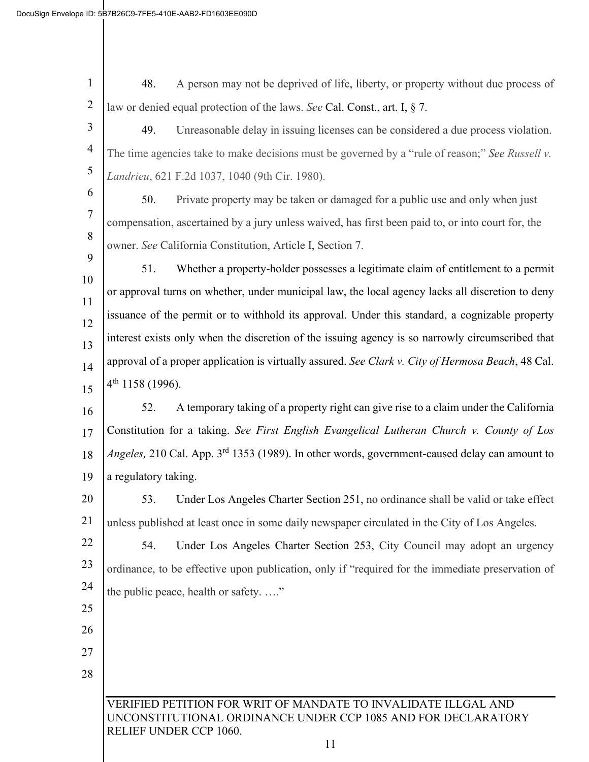VERIFIED PETITION FOR WRIT OF MANDATE TO INVALIDATE ILLGAL AND UNCONSTITUTIONAL ORDINANCE UNDER CCP 1085 AND FOR DECLARATORY RELIEF UNDER CCP 1060. 1 2 3 4 5 6 7 8 9 10 11 12 13 14 15 16 17 18 19 20 21 22 23 24 25 26 27 28 48. A person may not be deprived of life, liberty, or property without due process of law or denied equal protection of the laws. *See* Cal. Const., art. I, § 7. 49. Unreasonable delay in issuing licenses can be considered a due process violation. The time agencies take to make decisions must be governed by a "rule of reason;" *See Russell v. Landrieu*, 621 F.2d 1037, 1040 (9th Cir. 1980). 50. Private property may be taken or damaged for a public use and only when just compensation, ascertained by a jury unless waived, has first been paid to, or into court for, the owner. *See* California Constitution, Article I, Section 7. 51. Whether a property-holder possesses a legitimate claim of entitlement to a permit or approval turns on whether, under municipal law, the local agency lacks all discretion to deny issuance of the permit or to withhold its approval. Under this standard, a cognizable property interest exists only when the discretion of the issuing agency is so narrowly circumscribed that approval of a proper application is virtually assured. *See Clark v. City of Hermosa Beach*, 48 Cal.  $4<sup>th</sup> 1158 (1996).$ 52. A temporary taking of a property right can give rise to a claim under the California Constitution for a taking. *See First English Evangelical Lutheran Church v. County of Los Angeles,* 210 Cal. App. 3rd 1353 (1989). In other words, government-caused delay can amount to a regulatory taking. 53. Under Los Angeles Charter Section 251, no ordinance shall be valid or take effect unless published at least once in some daily newspaper circulated in the City of Los Angeles. 54. Under Los Angeles Charter Section 253, City Council may adopt an urgency ordinance, to be effective upon publication, only if "required for the immediate preservation of the public peace, health or safety. …."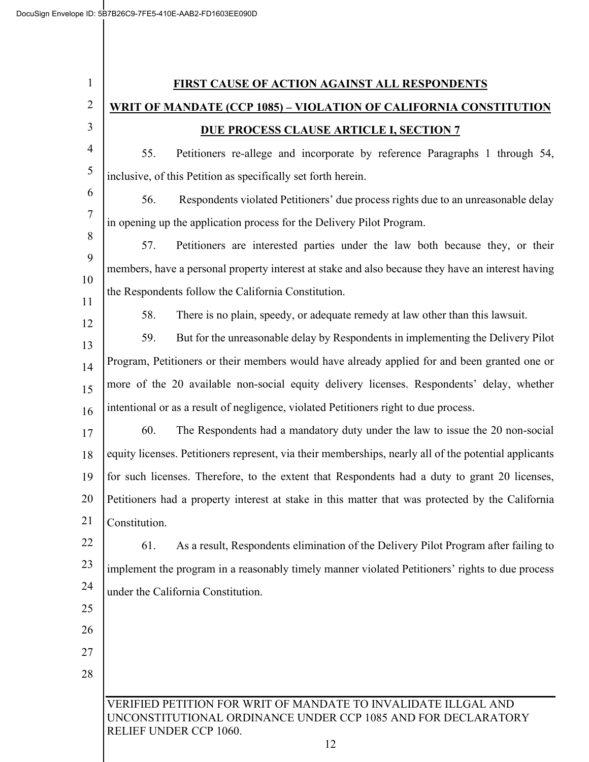| $\mathbf{1}$   | <b>FIRST CAUSE OF ACTION AGAINST ALL RESPONDENTS</b>                                                                                                      |
|----------------|-----------------------------------------------------------------------------------------------------------------------------------------------------------|
| $\overline{2}$ | <b>WRIT OF MANDATE (CCP 1085) - VIOLATION OF CALIFORNIA CONSTITUTION</b>                                                                                  |
| $\mathfrak{Z}$ | <b>DUE PROCESS CLAUSE ARTICLE I, SECTION 7</b>                                                                                                            |
| $\overline{4}$ | Petitioners re-allege and incorporate by reference Paragraphs 1 through 54,<br>55.                                                                        |
| 5              | inclusive, of this Petition as specifically set forth herein.                                                                                             |
| 6              | 56.<br>Respondents violated Petitioners' due process rights due to an unreasonable delay                                                                  |
| 7              | in opening up the application process for the Delivery Pilot Program.                                                                                     |
| 8              | 57.<br>Petitioners are interested parties under the law both because they, or their                                                                       |
| 9              | members, have a personal property interest at stake and also because they have an interest having                                                         |
| 10<br>11       | the Respondents follow the California Constitution.                                                                                                       |
| 12             | 58.<br>There is no plain, speedy, or adequate remedy at law other than this lawsuit.                                                                      |
| 13             | But for the unreasonable delay by Respondents in implementing the Delivery Pilot<br>59.                                                                   |
| 14             | Program, Petitioners or their members would have already applied for and been granted one or                                                              |
| 15             | more of the 20 available non-social equity delivery licenses. Respondents' delay, whether                                                                 |
| 16             | intentional or as a result of negligence, violated Petitioners right to due process.                                                                      |
| 17             | The Respondents had a mandatory duty under the law to issue the 20 non-social<br>60.                                                                      |
| 18             | equity licenses. Petitioners represent, via their memberships, nearly all of the potential applicants                                                     |
| 19             | for such licenses. Therefore, to the extent that Respondents had a duty to grant 20 licenses,                                                             |
| 20             | Petitioners had a property interest at stake in this matter that was protected by the California                                                          |
| 21             | Constitution.                                                                                                                                             |
| 22             | As a result, Respondents elimination of the Delivery Pilot Program after failing to<br>61.                                                                |
| 23             | implement the program in a reasonably timely manner violated Petitioners' rights to due process                                                           |
| 24             | under the California Constitution.                                                                                                                        |
| 25             |                                                                                                                                                           |
| 26             |                                                                                                                                                           |
| 27             |                                                                                                                                                           |
| 28             |                                                                                                                                                           |
|                | VERIFIED PETITION FOR WRIT OF MANDATE TO INVALIDATE ILLGAL AND<br>UNCONSTITUTIONAL ORDINANCE UNDER CCP 1085 AND FOR DECLARATORY<br>RELIEF UNDER CCP 1060. |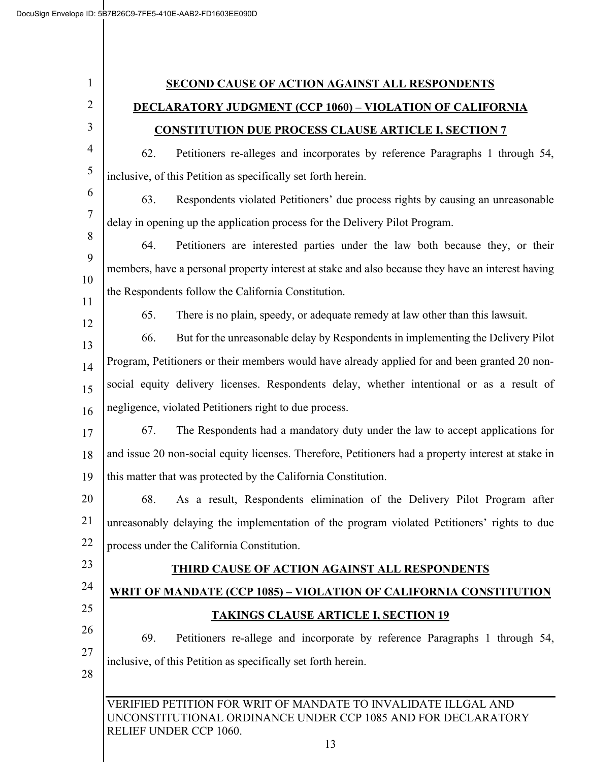| $\mathbf{1}$   | <b>SECOND CAUSE OF ACTION AGAINST ALL RESPONDENTS</b>                                                                                                           |
|----------------|-----------------------------------------------------------------------------------------------------------------------------------------------------------------|
| $\overline{2}$ | <b>DECLARATORY JUDGMENT (CCP 1060) - VIOLATION OF CALIFORNIA</b>                                                                                                |
| $\mathfrak{Z}$ | <b>CONSTITUTION DUE PROCESS CLAUSE ARTICLE I, SECTION 7</b>                                                                                                     |
| $\overline{4}$ | Petitioners re-alleges and incorporates by reference Paragraphs 1 through 54,<br>62.                                                                            |
| 5              | inclusive, of this Petition as specifically set forth herein.                                                                                                   |
| 6              | Respondents violated Petitioners' due process rights by causing an unreasonable<br>63.                                                                          |
| $\tau$         | delay in opening up the application process for the Delivery Pilot Program.                                                                                     |
| $\, 8$         | Petitioners are interested parties under the law both because they, or their<br>64.                                                                             |
| 9              | members, have a personal property interest at stake and also because they have an interest having                                                               |
| 10             | the Respondents follow the California Constitution.                                                                                                             |
| 11<br>12       | There is no plain, speedy, or adequate remedy at law other than this lawsuit.<br>65.                                                                            |
| 13             | But for the unreasonable delay by Respondents in implementing the Delivery Pilot<br>66.                                                                         |
| 14             | Program, Petitioners or their members would have already applied for and been granted 20 non-                                                                   |
| 15             | social equity delivery licenses. Respondents delay, whether intentional or as a result of                                                                       |
| 16             | negligence, violated Petitioners right to due process.                                                                                                          |
| 17             | The Respondents had a mandatory duty under the law to accept applications for<br>67.                                                                            |
| 18             | and issue 20 non-social equity licenses. Therefore, Petitioners had a property interest at stake in                                                             |
| 19             | this matter that was protected by the California Constitution.                                                                                                  |
| 20             | As a result, Respondents elimination of the Delivery Pilot Program after<br>68.                                                                                 |
| 21             | unreasonably delaying the implementation of the program violated Petitioners' rights to due                                                                     |
| 22             | process under the California Constitution.                                                                                                                      |
| 23             | THIRD CAUSE OF ACTION AGAINST ALL RESPONDENTS                                                                                                                   |
| 24             | <b>WRIT OF MANDATE (CCP 1085) – VIOLATION OF CALIFORNIA CONSTITUTION</b>                                                                                        |
| 25             | <b>TAKINGS CLAUSE ARTICLE I, SECTION 19</b>                                                                                                                     |
| 26             | 69.<br>Petitioners re-allege and incorporate by reference Paragraphs 1 through 54,                                                                              |
| 27             | inclusive, of this Petition as specifically set forth herein.                                                                                                   |
| 28             |                                                                                                                                                                 |
|                | VERIFIED PETITION FOR WRIT OF MANDATE TO INVALIDATE ILLGAL AND<br>UNCONSTITUTIONAL ORDINANCE UNDER CCP 1085 AND FOR DECLARATORY<br>RELIEF UNDER CCP 1060.<br>13 |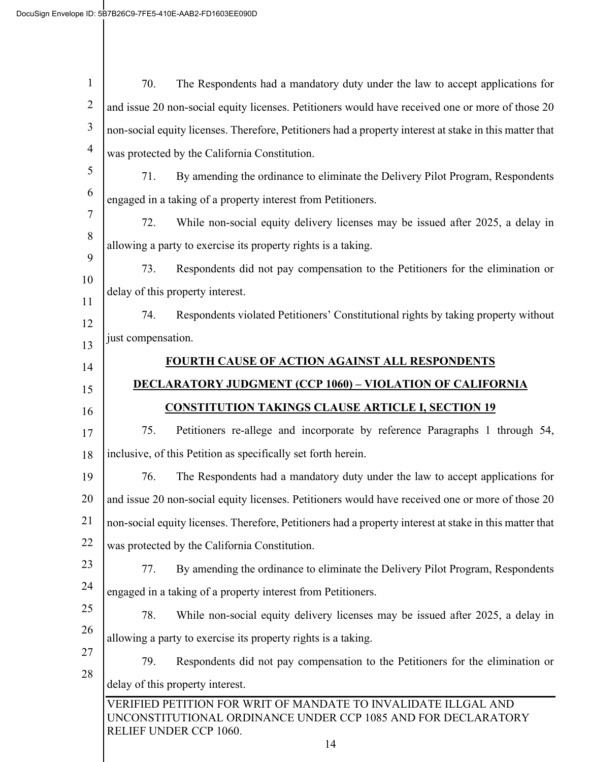| $\mathbf{1}$   | 70.                | The Respondents had a mandatory duty under the law to accept applications for                                                                                   |
|----------------|--------------------|-----------------------------------------------------------------------------------------------------------------------------------------------------------------|
| $\overline{2}$ |                    | and issue 20 non-social equity licenses. Petitioners would have received one or more of those 20                                                                |
| $\mathfrak{Z}$ |                    | non-social equity licenses. Therefore, Petitioners had a property interest at stake in this matter that                                                         |
| $\overline{4}$ |                    | was protected by the California Constitution.                                                                                                                   |
| 5              | 71.                | By amending the ordinance to eliminate the Delivery Pilot Program, Respondents                                                                                  |
| 6              |                    | engaged in a taking of a property interest from Petitioners.                                                                                                    |
| 7              | 72.                | While non-social equity delivery licenses may be issued after 2025, a delay in                                                                                  |
| 8              |                    | allowing a party to exercise its property rights is a taking.                                                                                                   |
| 9<br>10        | 73.                | Respondents did not pay compensation to the Petitioners for the elimination or                                                                                  |
| 11             |                    | delay of this property interest.                                                                                                                                |
| 12             | 74.                | Respondents violated Petitioners' Constitutional rights by taking property without                                                                              |
| 13             | just compensation. |                                                                                                                                                                 |
| 14             |                    | <b>FOURTH CAUSE OF ACTION AGAINST ALL RESPONDENTS</b>                                                                                                           |
| 15             |                    | <b>DECLARATORY JUDGMENT (CCP 1060) - VIOLATION OF CALIFORNIA</b>                                                                                                |
| 16             |                    | <b>CONSTITUTION TAKINGS CLAUSE ARTICLE I, SECTION 19</b>                                                                                                        |
| 17             | 75.                | Petitioners re-allege and incorporate by reference Paragraphs 1 through 54,                                                                                     |
| 18             |                    | inclusive, of this Petition as specifically set forth herein.                                                                                                   |
| 19             | 76.                | The Respondents had a mandatory duty under the law to accept applications for                                                                                   |
| 20             |                    | and issue 20 non-social equity licenses. Petitioners would have received one or more of those 20                                                                |
| 21             |                    | non-social equity licenses. Therefore, Petitioners had a property interest at stake in this matter that                                                         |
| 22             |                    | was protected by the California Constitution.                                                                                                                   |
| 23             | 77.                | By amending the ordinance to eliminate the Delivery Pilot Program, Respondents                                                                                  |
| 24             |                    | engaged in a taking of a property interest from Petitioners.                                                                                                    |
| 25             | 78.                | While non-social equity delivery licenses may be issued after 2025, a delay in                                                                                  |
| 26             |                    | allowing a party to exercise its property rights is a taking.                                                                                                   |
| 27             | 79.                | Respondents did not pay compensation to the Petitioners for the elimination or                                                                                  |
| 28             |                    | delay of this property interest.                                                                                                                                |
|                |                    | VERIFIED PETITION FOR WRIT OF MANDATE TO INVALIDATE ILLGAL AND<br>UNCONSTITUTIONAL ORDINANCE UNDER CCP 1085 AND FOR DECLARATORY<br>RELIEF UNDER CCP 1060.<br>14 |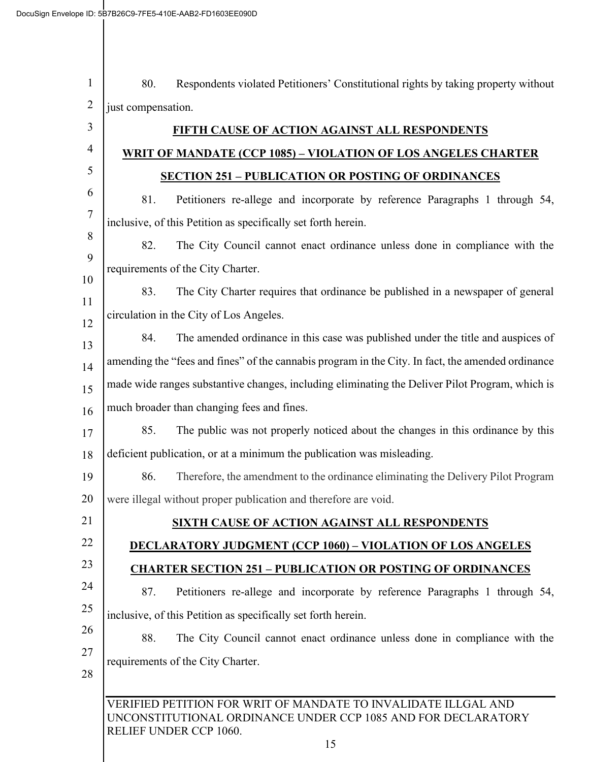| $\mathbf{1}$   | 80.                                                  | Respondents violated Petitioners' Constitutional rights by taking property without                                                                        |  |
|----------------|------------------------------------------------------|-----------------------------------------------------------------------------------------------------------------------------------------------------------|--|
| $\overline{2}$ | just compensation.                                   |                                                                                                                                                           |  |
| 3              | <b>FIFTH CAUSE OF ACTION AGAINST ALL RESPONDENTS</b> |                                                                                                                                                           |  |
| $\overline{4}$ |                                                      | <u>WRIT OF MANDATE (CCP 1085) – VIOLATION OF LOS ANGELES CHARTER</u>                                                                                      |  |
| 5              |                                                      | <b>SECTION 251 - PUBLICATION OR POSTING OF ORDINANCES</b>                                                                                                 |  |
| 6              | 81.                                                  | Petitioners re-allege and incorporate by reference Paragraphs 1 through 54,                                                                               |  |
| $\tau$         |                                                      | inclusive, of this Petition as specifically set forth herein.                                                                                             |  |
| 8              | 82.                                                  | The City Council cannot enact ordinance unless done in compliance with the                                                                                |  |
| 9              |                                                      | requirements of the City Charter.                                                                                                                         |  |
| 10             | 83.                                                  | The City Charter requires that ordinance be published in a newspaper of general                                                                           |  |
| 11<br>12       |                                                      | circulation in the City of Los Angeles.                                                                                                                   |  |
| 13             | 84.                                                  | The amended ordinance in this case was published under the title and auspices of                                                                          |  |
| 14             |                                                      | amending the "fees and fines" of the cannabis program in the City. In fact, the amended ordinance                                                         |  |
| 15             |                                                      | made wide ranges substantive changes, including eliminating the Deliver Pilot Program, which is                                                           |  |
| 16             |                                                      | much broader than changing fees and fines.                                                                                                                |  |
| 17             | 85.                                                  | The public was not properly noticed about the changes in this ordinance by this                                                                           |  |
| 18             |                                                      | deficient publication, or at a minimum the publication was misleading.                                                                                    |  |
| 19             | 86.                                                  | Therefore, the amendment to the ordinance eliminating the Delivery Pilot Program                                                                          |  |
| 20             |                                                      | were illegal without proper publication and therefore are void.                                                                                           |  |
| 21             |                                                      | SIXTH CAUSE OF ACTION AGAINST ALL RESPONDENTS                                                                                                             |  |
| 22             |                                                      | <b>DECLARATORY JUDGMENT (CCP 1060) - VIOLATION OF LOS ANGELES</b>                                                                                         |  |
| 23             |                                                      | <b>CHARTER SECTION 251 - PUBLICATION OR POSTING OF ORDINANCES</b>                                                                                         |  |
| 24             | 87.                                                  | Petitioners re-allege and incorporate by reference Paragraphs 1 through 54,                                                                               |  |
| 25             |                                                      | inclusive, of this Petition as specifically set forth herein.                                                                                             |  |
| 26             | 88.                                                  | The City Council cannot enact ordinance unless done in compliance with the                                                                                |  |
| 27             |                                                      | requirements of the City Charter.                                                                                                                         |  |
| 28             |                                                      |                                                                                                                                                           |  |
|                |                                                      | VERIFIED PETITION FOR WRIT OF MANDATE TO INVALIDATE ILLGAL AND<br>UNCONSTITUTIONAL ORDINANCE UNDER CCP 1085 AND FOR DECLARATORY<br>RELIEF UNDER CCP 1060. |  |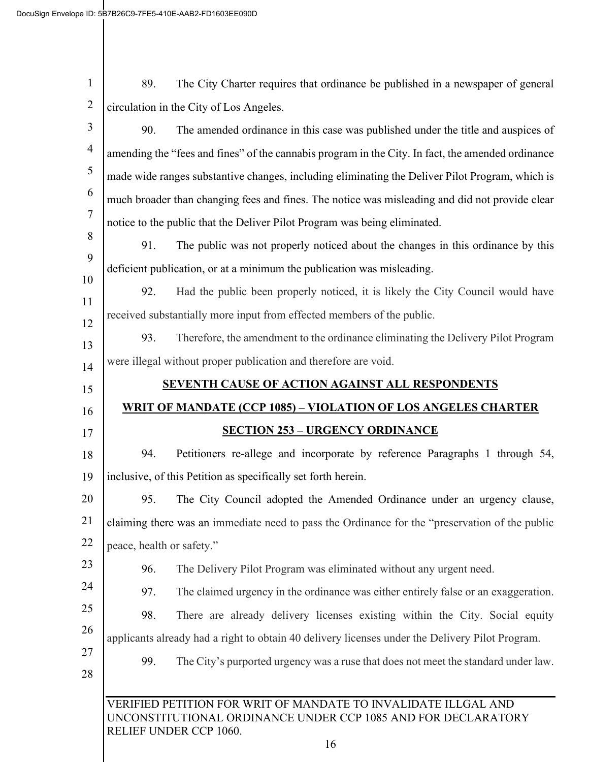| $\mathbf{1}$   | 89.                                     | The City Charter requires that ordinance be published in a newspaper of general                                                                           |  |
|----------------|-----------------------------------------|-----------------------------------------------------------------------------------------------------------------------------------------------------------|--|
| $\overline{2}$ | circulation in the City of Los Angeles. |                                                                                                                                                           |  |
| $\mathfrak{Z}$ | 90.                                     | The amended ordinance in this case was published under the title and auspices of                                                                          |  |
| $\overline{4}$ |                                         | amending the "fees and fines" of the cannabis program in the City. In fact, the amended ordinance                                                         |  |
| 5              |                                         | made wide ranges substantive changes, including eliminating the Deliver Pilot Program, which is                                                           |  |
| 6              |                                         | much broader than changing fees and fines. The notice was misleading and did not provide clear                                                            |  |
| 7              |                                         | notice to the public that the Deliver Pilot Program was being eliminated.                                                                                 |  |
| $8\phantom{.}$ | 91.                                     | The public was not properly noticed about the changes in this ordinance by this                                                                           |  |
| 9              |                                         | deficient publication, or at a minimum the publication was misleading.                                                                                    |  |
| 10<br>11       | 92.                                     | Had the public been properly noticed, it is likely the City Council would have                                                                            |  |
| 12             |                                         | received substantially more input from effected members of the public.                                                                                    |  |
| 13             | 93.                                     | Therefore, the amendment to the ordinance eliminating the Delivery Pilot Program                                                                          |  |
| 14             |                                         | were illegal without proper publication and therefore are void.                                                                                           |  |
| 15             |                                         | <b>SEVENTH CAUSE OF ACTION AGAINST ALL RESPONDENTS</b>                                                                                                    |  |
| 16             |                                         | <b>WRIT OF MANDATE (CCP 1085) - VIOLATION OF LOS ANGELES CHARTER</b>                                                                                      |  |
| 17             |                                         | <b>SECTION 253 - URGENCY ORDINANCE</b>                                                                                                                    |  |
| 18             | 94.                                     | Petitioners re-allege and incorporate by reference Paragraphs 1 through 54,                                                                               |  |
| 19             |                                         | inclusive, of this Petition as specifically set forth herein.                                                                                             |  |
| 20             | 95.                                     | The City Council adopted the Amended Ordinance under an urgency clause,                                                                                   |  |
| 21             |                                         | claiming there was an immediate need to pass the Ordinance for the "preservation of the public                                                            |  |
| 22             | peace, health or safety."               |                                                                                                                                                           |  |
| 23             | 96.                                     | The Delivery Pilot Program was eliminated without any urgent need.                                                                                        |  |
| 24             | 97.                                     | The claimed urgency in the ordinance was either entirely false or an exaggeration.                                                                        |  |
| 25             | 98.                                     | There are already delivery licenses existing within the City. Social equity                                                                               |  |
| 26             |                                         | applicants already had a right to obtain 40 delivery licenses under the Delivery Pilot Program.                                                           |  |
| 27             | 99.                                     | The City's purported urgency was a ruse that does not meet the standard under law.                                                                        |  |
| 28             |                                         |                                                                                                                                                           |  |
|                |                                         | VERIFIED PETITION FOR WRIT OF MANDATE TO INVALIDATE ILLGAL AND<br>UNCONSTITUTIONAL ORDINANCE UNDER CCP 1085 AND FOR DECLARATORY<br>RELIEF UNDER CCP 1060. |  |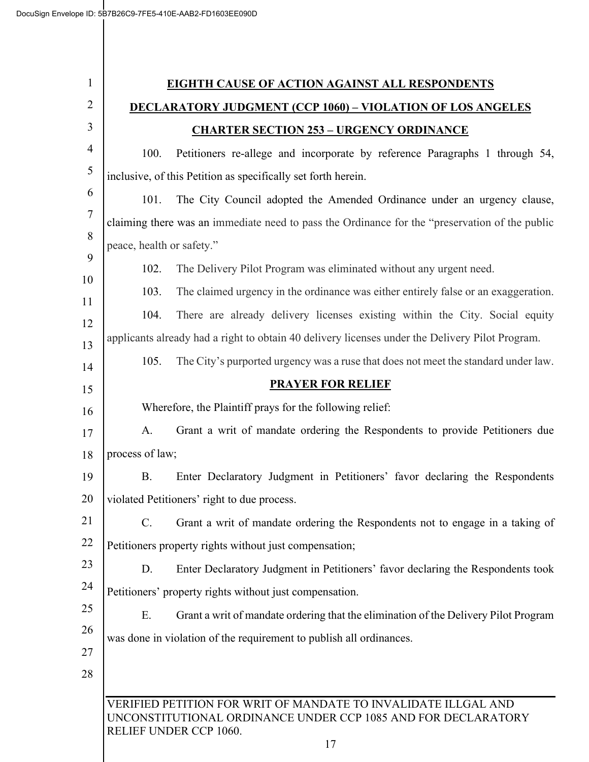| $\mathbf{1}$     |                                                                   | <b>EIGHTH CAUSE OF ACTION AGAINST ALL RESPONDENTS</b>                                                                                                     |  |
|------------------|-------------------------------------------------------------------|-----------------------------------------------------------------------------------------------------------------------------------------------------------|--|
| $\overline{2}$   | <b>DECLARATORY JUDGMENT (CCP 1060) - VIOLATION OF LOS ANGELES</b> |                                                                                                                                                           |  |
| 3                |                                                                   | <b>CHARTER SECTION 253 - URGENCY ORDINANCE</b>                                                                                                            |  |
| 4                | 100.                                                              | Petitioners re-allege and incorporate by reference Paragraphs 1 through 54,                                                                               |  |
| 5                | inclusive, of this Petition as specifically set forth herein.     |                                                                                                                                                           |  |
| 6                | 101.                                                              | The City Council adopted the Amended Ordinance under an urgency clause,                                                                                   |  |
| $\boldsymbol{7}$ |                                                                   | claiming there was an immediate need to pass the Ordinance for the "preservation of the public                                                            |  |
| 8                | peace, health or safety."                                         |                                                                                                                                                           |  |
| 9                | 102.                                                              | The Delivery Pilot Program was eliminated without any urgent need.                                                                                        |  |
| 10               | 103.                                                              | The claimed urgency in the ordinance was either entirely false or an exaggeration.                                                                        |  |
| 11               | 104.                                                              | There are already delivery licenses existing within the City. Social equity                                                                               |  |
| 12<br>13         |                                                                   | applicants already had a right to obtain 40 delivery licenses under the Delivery Pilot Program.                                                           |  |
| 14               | 105.                                                              | The City's purported urgency was a ruse that does not meet the standard under law.                                                                        |  |
| 15               |                                                                   | <b>PRAYER FOR RELIEF</b>                                                                                                                                  |  |
| 16               |                                                                   | Wherefore, the Plaintiff prays for the following relief:                                                                                                  |  |
| 17               | A.                                                                | Grant a writ of mandate ordering the Respondents to provide Petitioners due                                                                               |  |
| 18               | process of law;                                                   |                                                                                                                                                           |  |
| 19               | <b>B.</b>                                                         | Enter Declaratory Judgment in Petitioners' favor declaring the Respondents                                                                                |  |
| 20               |                                                                   | violated Petitioners' right to due process.                                                                                                               |  |
| 21               | $\mathbf{C}$ .                                                    | Grant a writ of mandate ordering the Respondents not to engage in a taking of                                                                             |  |
| 22               |                                                                   | Petitioners property rights without just compensation;                                                                                                    |  |
| 23               | D.                                                                | Enter Declaratory Judgment in Petitioners' favor declaring the Respondents took                                                                           |  |
| 24               |                                                                   | Petitioners' property rights without just compensation.                                                                                                   |  |
| 25               | E.                                                                | Grant a writ of mandate ordering that the elimination of the Delivery Pilot Program                                                                       |  |
| 26               |                                                                   | was done in violation of the requirement to publish all ordinances.                                                                                       |  |
| 27               |                                                                   |                                                                                                                                                           |  |
| 28               |                                                                   |                                                                                                                                                           |  |
|                  |                                                                   | VERIFIED PETITION FOR WRIT OF MANDATE TO INVALIDATE ILLGAL AND<br>UNCONSTITUTIONAL ORDINANCE UNDER CCP 1085 AND FOR DECLARATORY<br>RELIEF UNDER CCP 1060. |  |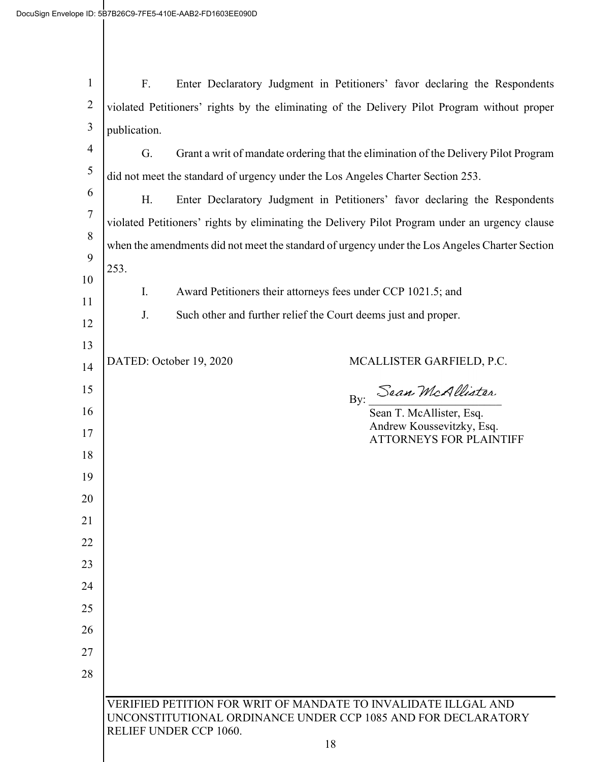| $\mathbf{1}$   | F.           |                         | Enter Declaratory Judgment in Petitioners' favor declaring the Respondents                                                            |
|----------------|--------------|-------------------------|---------------------------------------------------------------------------------------------------------------------------------------|
| $\overline{2}$ |              |                         | violated Petitioners' rights by the eliminating of the Delivery Pilot Program without proper                                          |
| 3              | publication. |                         |                                                                                                                                       |
| 4              | G.           |                         | Grant a writ of mandate ordering that the elimination of the Delivery Pilot Program                                                   |
| 5              |              |                         | did not meet the standard of urgency under the Los Angeles Charter Section 253.                                                       |
| 6              | Η.           |                         | Enter Declaratory Judgment in Petitioners' favor declaring the Respondents                                                            |
| 7              |              |                         | violated Petitioners' rights by eliminating the Delivery Pilot Program under an urgency clause                                        |
| 8              |              |                         | when the amendments did not meet the standard of urgency under the Los Angeles Charter Section                                        |
| 9              | 253.         |                         |                                                                                                                                       |
| 10             | I.           |                         | Award Petitioners their attorneys fees under CCP 1021.5; and                                                                          |
| 11             | J.           |                         | Such other and further relief the Court deems just and proper.                                                                        |
| 12             |              |                         |                                                                                                                                       |
| 13<br>14       |              | DATED: October 19, 2020 | MCALLISTER GARFIELD, P.C.                                                                                                             |
| 15             |              |                         | Sean McAllister                                                                                                                       |
| 16             |              |                         | By:<br>Sean T. McAllister, Esq.                                                                                                       |
| 17             |              |                         | Andrew Koussevitzky, Esq.                                                                                                             |
| 18             |              |                         | <b>ATTORNEYS FOR PLAINTIFF</b>                                                                                                        |
| 19             |              |                         |                                                                                                                                       |
| 20             |              |                         |                                                                                                                                       |
| 21             |              |                         |                                                                                                                                       |
| 22             |              |                         |                                                                                                                                       |
| 23             |              |                         |                                                                                                                                       |
| 24             |              |                         |                                                                                                                                       |
| 25             |              |                         |                                                                                                                                       |
| 26             |              |                         |                                                                                                                                       |
| 27             |              |                         |                                                                                                                                       |
| 28             |              |                         |                                                                                                                                       |
|                |              | RELIEF UNDER CCP 1060.  | VERIFIED PETITION FOR WRIT OF MANDATE TO INVALIDATE ILLGAL AND<br>UNCONSTITUTIONAL ORDINANCE UNDER CCP 1085 AND FOR DECLARATORY<br>18 |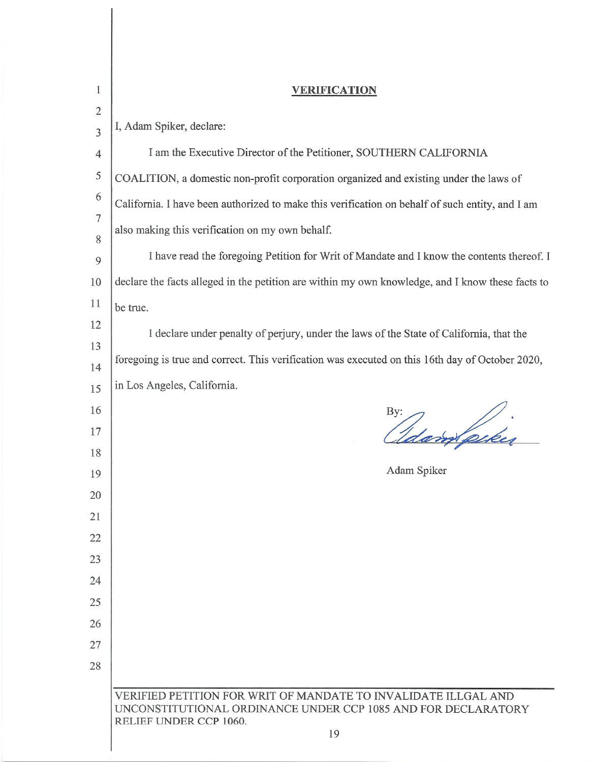| 1              | <b>VERIFICATION</b>                                                                                                                                             |
|----------------|-----------------------------------------------------------------------------------------------------------------------------------------------------------------|
| $\overline{2}$ |                                                                                                                                                                 |
| 3              | I, Adam Spiker, declare:                                                                                                                                        |
| $\overline{4}$ | I am the Executive Director of the Petitioner, SOUTHERN CALIFORNIA                                                                                              |
| 5              | COALITION, a domestic non-profit corporation organized and existing under the laws of                                                                           |
| 6              | California. I have been authorized to make this verification on behalf of such entity, and I am                                                                 |
| 7              | also making this verification on my own behalf.                                                                                                                 |
| 8<br>9         | I have read the foregoing Petition for Writ of Mandate and I know the contents thereof. I                                                                       |
| 10             | declare the facts alleged in the petition are within my own knowledge, and I know these facts to                                                                |
| 11             | be true.                                                                                                                                                        |
| 12             | I declare under penalty of perjury, under the laws of the State of California, that the                                                                         |
| 13             |                                                                                                                                                                 |
| 14             | foregoing is true and correct. This verification was executed on this 16th day of October 2020,                                                                 |
| 15             | in Los Angeles, California.                                                                                                                                     |
| 16             | By:                                                                                                                                                             |
| 17             | Udam løskes                                                                                                                                                     |
| 18             | Adam Spiker                                                                                                                                                     |
| 19             |                                                                                                                                                                 |
| 20             |                                                                                                                                                                 |
| 21<br>22       |                                                                                                                                                                 |
| 23             |                                                                                                                                                                 |
| 24             |                                                                                                                                                                 |
| 25             |                                                                                                                                                                 |
| 26             |                                                                                                                                                                 |
| 27             |                                                                                                                                                                 |
| 28             |                                                                                                                                                                 |
|                | VERIFIED PETITION FOR WRIT OF MANDATE TO INVALIDATE ILLGAL AND<br>UNCONSTITUTIONAL ORDINANCE UNDER CCP 1085 AND FOR DECLARATORY<br>RELIEF UNDER CCP 1060.<br>19 |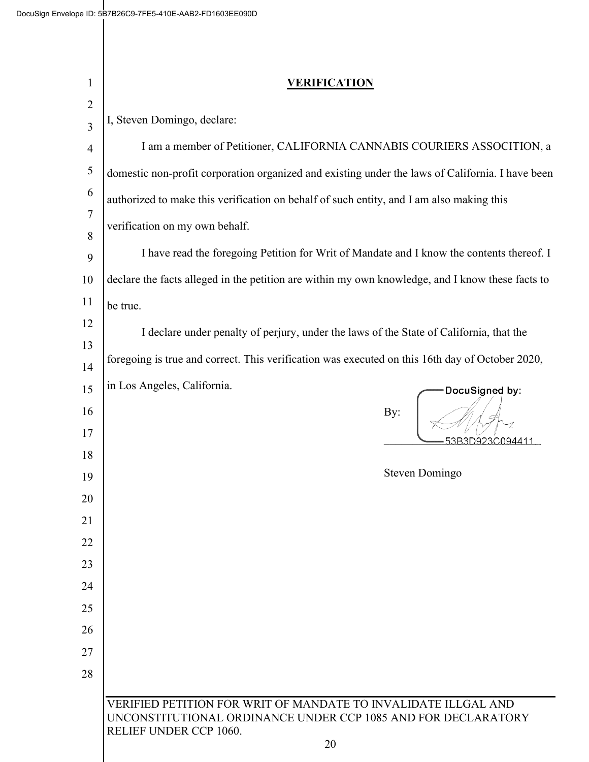| 1              | <u>VERIFICATION</u>                                                                                                                                             |
|----------------|-----------------------------------------------------------------------------------------------------------------------------------------------------------------|
| $\overline{2}$ |                                                                                                                                                                 |
| $\overline{3}$ | I, Steven Domingo, declare:                                                                                                                                     |
| $\overline{4}$ | I am a member of Petitioner, CALIFORNIA CANNABIS COURIERS ASSOCITION, a                                                                                         |
| 5              | domestic non-profit corporation organized and existing under the laws of California. I have been                                                                |
| 6              | authorized to make this verification on behalf of such entity, and I am also making this                                                                        |
| 7<br>8         | verification on my own behalf.                                                                                                                                  |
| 9              | I have read the foregoing Petition for Writ of Mandate and I know the contents thereof. I                                                                       |
| 10             | declare the facts alleged in the petition are within my own knowledge, and I know these facts to                                                                |
| 11             | be true.                                                                                                                                                        |
| 12             | I declare under penalty of perjury, under the laws of the State of California, that the                                                                         |
| 13             |                                                                                                                                                                 |
| 14             | foregoing is true and correct. This verification was executed on this 16th day of October 2020,                                                                 |
| 15             | in Los Angeles, California.<br>DocuSigned by:                                                                                                                   |
| 16             | By:                                                                                                                                                             |
| 17<br>18       | 53B3D923C09441                                                                                                                                                  |
| 19             | Steven Domingo                                                                                                                                                  |
| 20             |                                                                                                                                                                 |
| 21             |                                                                                                                                                                 |
| 22             |                                                                                                                                                                 |
| 23             |                                                                                                                                                                 |
| 24             |                                                                                                                                                                 |
| 25             |                                                                                                                                                                 |
| 26             |                                                                                                                                                                 |
| 27             |                                                                                                                                                                 |
| 28             |                                                                                                                                                                 |
|                | VERIFIED PETITION FOR WRIT OF MANDATE TO INVALIDATE ILLGAL AND<br>UNCONSTITUTIONAL ORDINANCE UNDER CCP 1085 AND FOR DECLARATORY<br>RELIEF UNDER CCP 1060.<br>20 |